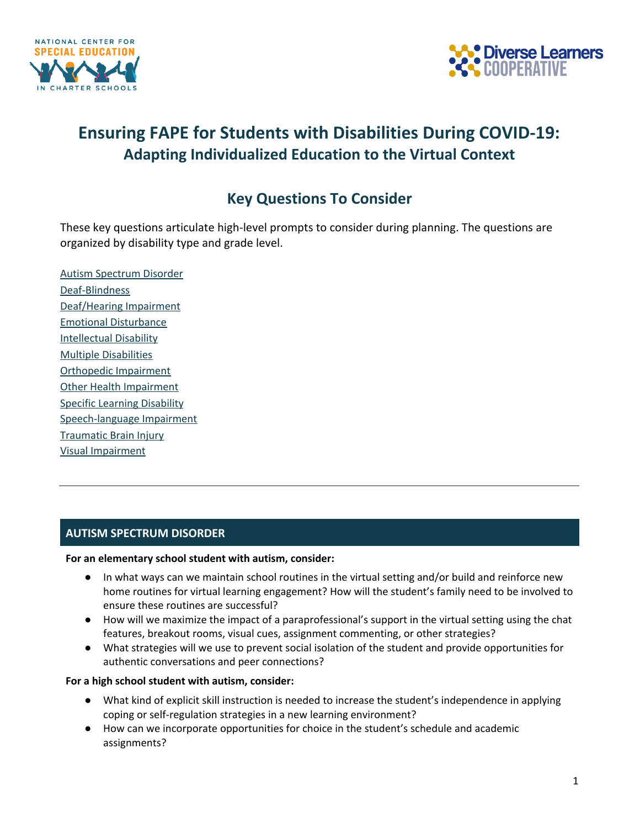



# **Ensuring FAPE for Students with Disabilities During COVID-19: Adapting Individualized Education to the Virtual Context**

## **Key Questions To Consider**

These key questions articulate high-level prompts to consider during planning. The questions are organized by disability type and grade level.

Autism [Spectrum](#page-0-0) Disorder [Deaf-Blindness](#page-1-0) [Deaf/Hearing](#page-1-1) Impairment Emotional [Disturbance](#page-1-2) [Intellectual](#page-2-0) Disability Multiple [Disabilities](#page-2-1) Orthopedic [Impairment](#page-2-2) Other Health [Impairment](#page-3-0) Specific Learning [Disability](#page-3-1) [Speech-language](#page-4-0) Impairment [Traumatic](#page-4-1) Brain Injury Visual [Impairment](#page-5-0)

## <span id="page-0-0"></span>**AUTISM SPECTRUM DISORDER**

## **For an elementary school student with autism, consider:**

- In what ways can we maintain school routines in the virtual setting and/or build and reinforce new home routines for virtual learning engagement? How will the student's family need to be involved to ensure these routines are successful?
- How will we maximize the impact of a paraprofessional's support in the virtual setting using the chat features, breakout rooms, visual cues, assignment commenting, or other strategies?
- What strategies will we use to prevent social isolation of the student and provide opportunities for authentic conversations and peer connections?

## **For a high school student with autism, consider:**

- What kind of explicit skill instruction is needed to increase the student's independence in applying coping or self-regulation strategies in a new learning environment?
- How can we incorporate opportunities for choice in the student's schedule and academic assignments?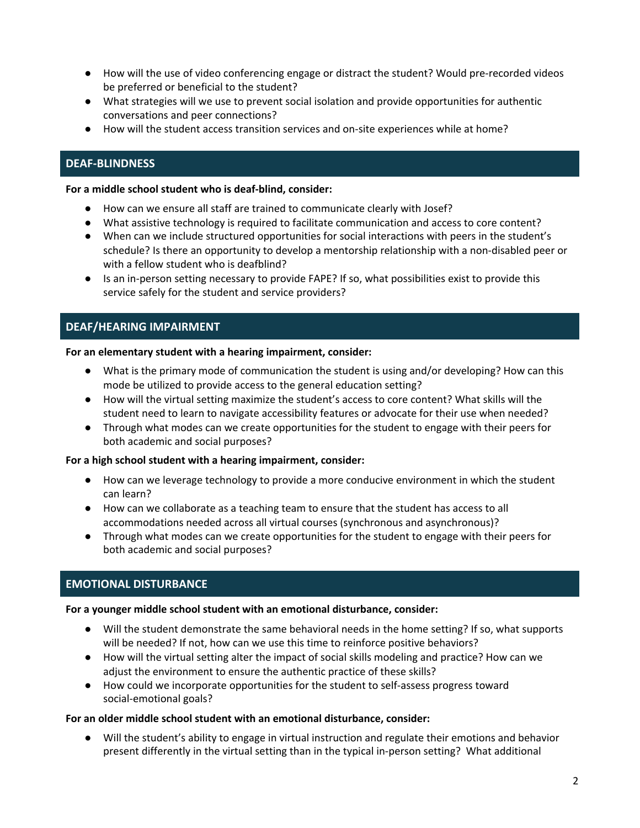- How will the use of video conferencing engage or distract the student? Would pre-recorded videos be preferred or beneficial to the student?
- What strategies will we use to prevent social isolation and provide opportunities for authentic conversations and peer connections?
- How will the student access transition services and on-site experiences while at home?

## <span id="page-1-0"></span>**DEAF-BLINDNESS**

#### **For a middle school student who is deaf-blind, consider:**

- How can we ensure all staff are trained to communicate clearly with Josef?
- What assistive technology is required to facilitate communication and access to core content?
- When can we include structured opportunities for social interactions with peers in the student's schedule? Is there an opportunity to develop a mentorship relationship with a non-disabled peer or with a fellow student who is deafblind?
- Is an in-person setting necessary to provide FAPE? If so, what possibilities exist to provide this service safely for the student and service providers?

## <span id="page-1-1"></span>**DEAF/HEARING IMPAIRMENT**

#### **For an elementary student with a hearing impairment, consider:**

- What is the primary mode of communication the student is using and/or developing? How can this mode be utilized to provide access to the general education setting?
- How will the virtual setting maximize the student's access to core content? What skills will the student need to learn to navigate accessibility features or advocate for their use when needed?
- Through what modes can we create opportunities for the student to engage with their peers for both academic and social purposes?

## **For a high school student with a hearing impairment, consider:**

- How can we leverage technology to provide a more conducive environment in which the student can learn?
- How can we collaborate as a teaching team to ensure that the student has access to all accommodations needed across all virtual courses (synchronous and asynchronous)?
- Through what modes can we create opportunities for the student to engage with their peers for both academic and social purposes?

## <span id="page-1-2"></span>**EMOTIONAL DISTURBANCE**

## **For a younger middle school student with an emotional disturbance, consider:**

- Will the student demonstrate the same behavioral needs in the home setting? If so, what supports will be needed? If not, how can we use this time to reinforce positive behaviors?
- How will the virtual setting alter the impact of social skills modeling and practice? How can we adjust the environment to ensure the authentic practice of these skills?
- How could we incorporate opportunities for the student to self-assess progress toward social-emotional goals?

## **For an older middle school student with an emotional disturbance, consider:**

● Will the student's ability to engage in virtual instruction and regulate their emotions and behavior present differently in the virtual setting than in the typical in-person setting? What additional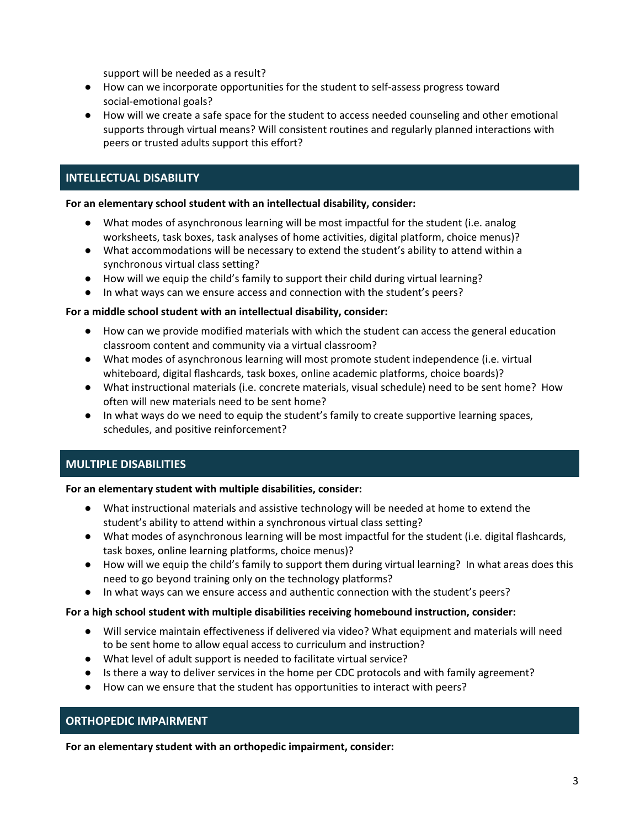support will be needed as a result?

- How can we incorporate opportunities for the student to self-assess progress toward social-emotional goals?
- How will we create a safe space for the student to access needed counseling and other emotional supports through virtual means? Will consistent routines and regularly planned interactions with peers or trusted adults support this effort?

## <span id="page-2-0"></span>**INTELLECTUAL DISABILITY**

#### **For an elementary school student with an intellectual disability, consider:**

- What modes of asynchronous learning will be most impactful for the student (i.e. analog worksheets, task boxes, task analyses of home activities, digital platform, choice menus)?
- What accommodations will be necessary to extend the student's ability to attend within a synchronous virtual class setting?
- How will we equip the child's family to support their child during virtual learning?
- In what ways can we ensure access and connection with the student's peers?

#### **For a middle school student with an intellectual disability, consider:**

- How can we provide modified materials with which the student can access the general education classroom content and community via a virtual classroom?
- What modes of asynchronous learning will most promote student independence (i.e. virtual whiteboard, digital flashcards, task boxes, online academic platforms, choice boards)?
- What instructional materials (i.e. concrete materials, visual schedule) need to be sent home? How often will new materials need to be sent home?
- In what ways do we need to equip the student's family to create supportive learning spaces, schedules, and positive reinforcement?

## <span id="page-2-1"></span>**MULTIPLE DISABILITIES**

#### **For an elementary student with multiple disabilities, consider:**

- What instructional materials and assistive technology will be needed at home to extend the student's ability to attend within a synchronous virtual class setting?
- What modes of asynchronous learning will be most impactful for the student (i.e. digital flashcards, task boxes, online learning platforms, choice menus)?
- How will we equip the child's family to support them during virtual learning? In what areas does this need to go beyond training only on the technology platforms?
- In what ways can we ensure access and authentic connection with the student's peers?

## **For a high school student with multiple disabilities receiving homebound instruction, consider:**

- Will service maintain effectiveness if delivered via video? What equipment and materials will need to be sent home to allow equal access to curriculum and instruction?
- What level of adult support is needed to facilitate virtual service?
- Is there a way to deliver services in the home per CDC protocols and with family agreement?
- How can we ensure that the student has opportunities to interact with peers?

## <span id="page-2-2"></span>**ORTHOPEDIC IMPAIRMENT**

**For an elementary student with an orthopedic impairment, consider:**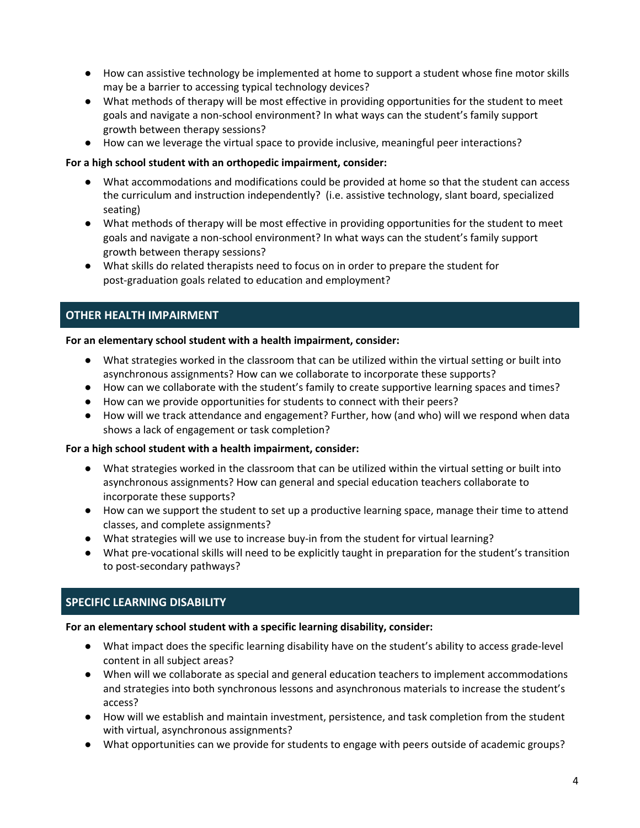- How can assistive technology be implemented at home to support a student whose fine motor skills may be a barrier to accessing typical technology devices?
- What methods of therapy will be most effective in providing opportunities for the student to meet goals and navigate a non-school environment? In what ways can the student's family support growth between therapy sessions?
- How can we leverage the virtual space to provide inclusive, meaningful peer interactions?

## **For a high school student with an orthopedic impairment, consider:**

- What accommodations and modifications could be provided at home so that the student can access the curriculum and instruction independently? (i.e. assistive technology, slant board, specialized seating)
- What methods of therapy will be most effective in providing opportunities for the student to meet goals and navigate a non-school environment? In what ways can the student's family support growth between therapy sessions?
- What skills do related therapists need to focus on in order to prepare the student for post-graduation goals related to education and employment?

## <span id="page-3-0"></span>**OTHER HEALTH IMPAIRMENT**

## **For an elementary school student with a health impairment, consider:**

- What strategies worked in the classroom that can be utilized within the virtual setting or built into asynchronous assignments? How can we collaborate to incorporate these supports?
- How can we collaborate with the student's family to create supportive learning spaces and times?
- How can we provide opportunities for students to connect with their peers?
- How will we track attendance and engagement? Further, how (and who) will we respond when data shows a lack of engagement or task completion?

## **For a high school student with a health impairment, consider:**

- What strategies worked in the classroom that can be utilized within the virtual setting or built into asynchronous assignments? How can general and special education teachers collaborate to incorporate these supports?
- How can we support the student to set up a productive learning space, manage their time to attend classes, and complete assignments?
- What strategies will we use to increase buy-in from the student for virtual learning?
- What pre-vocational skills will need to be explicitly taught in preparation for the student's transition to post-secondary pathways?

## <span id="page-3-1"></span>**SPECIFIC LEARNING DISABILITY**

## **For an elementary school student with a specific learning disability, consider:**

- What impact does the specific learning disability have on the student's ability to access grade-level content in all subject areas?
- When will we collaborate as special and general education teachers to implement accommodations and strategies into both synchronous lessons and asynchronous materials to increase the student's access?
- How will we establish and maintain investment, persistence, and task completion from the student with virtual, asynchronous assignments?
- What opportunities can we provide for students to engage with peers outside of academic groups?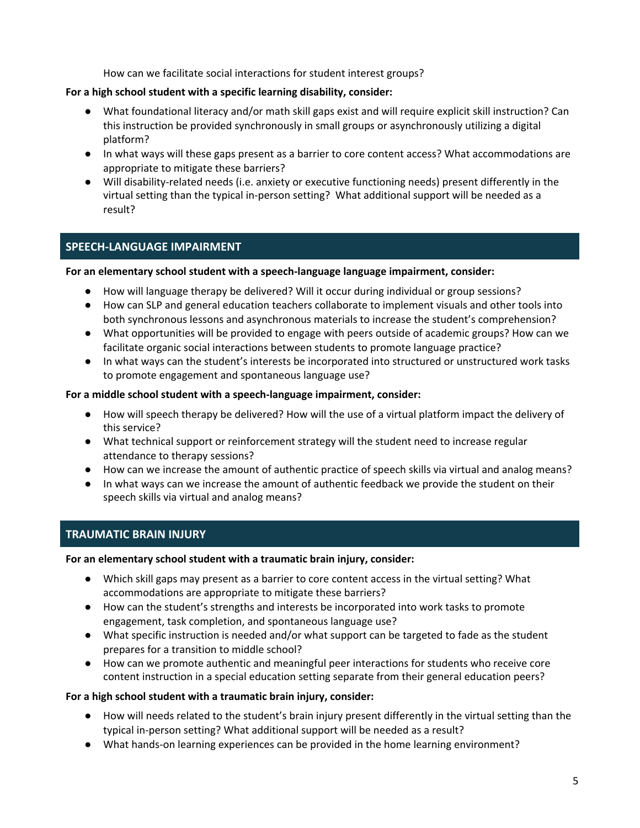How can we facilitate social interactions for student interest groups?

## **For a high school student with a specific learning disability, consider:**

- What foundational literacy and/or math skill gaps exist and will require explicit skill instruction? Can this instruction be provided synchronously in small groups or asynchronously utilizing a digital platform?
- In what ways will these gaps present as a barrier to core content access? What accommodations are appropriate to mitigate these barriers?
- Will disability-related needs (i.e. anxiety or executive functioning needs) present differently in the virtual setting than the typical in-person setting? What additional support will be needed as a result?

## <span id="page-4-0"></span>**SPEECH-LANGUAGE IMPAIRMENT**

## **For an elementary school student with a speech-language language impairment, consider:**

- How will language therapy be delivered? Will it occur during individual or group sessions?
- How can SLP and general education teachers collaborate to implement visuals and other tools into both synchronous lessons and asynchronous materials to increase the student's comprehension?
- What opportunities will be provided to engage with peers outside of academic groups? How can we facilitate organic social interactions between students to promote language practice?
- In what ways can the student's interests be incorporated into structured or unstructured work tasks to promote engagement and spontaneous language use?

## **For a middle school student with a speech-language impairment, consider:**

- How will speech therapy be delivered? How will the use of a virtual platform impact the delivery of this service?
- What technical support or reinforcement strategy will the student need to increase regular attendance to therapy sessions?
- How can we increase the amount of authentic practice of speech skills via virtual and analog means?
- In what ways can we increase the amount of authentic feedback we provide the student on their speech skills via virtual and analog means?

## <span id="page-4-1"></span>**TRAUMATIC BRAIN INJURY**

## **For an elementary school student with a traumatic brain injury, consider:**

- Which skill gaps may present as a barrier to core content access in the virtual setting? What accommodations are appropriate to mitigate these barriers?
- How can the student's strengths and interests be incorporated into work tasks to promote engagement, task completion, and spontaneous language use?
- What specific instruction is needed and/or what support can be targeted to fade as the student prepares for a transition to middle school?
- How can we promote authentic and meaningful peer interactions for students who receive core content instruction in a special education setting separate from their general education peers?

## **For a high school student with a traumatic brain injury, consider:**

- How will needs related to the student's brain injury present differently in the virtual setting than the typical in-person setting? What additional support will be needed as a result?
- What hands-on learning experiences can be provided in the home learning environment?